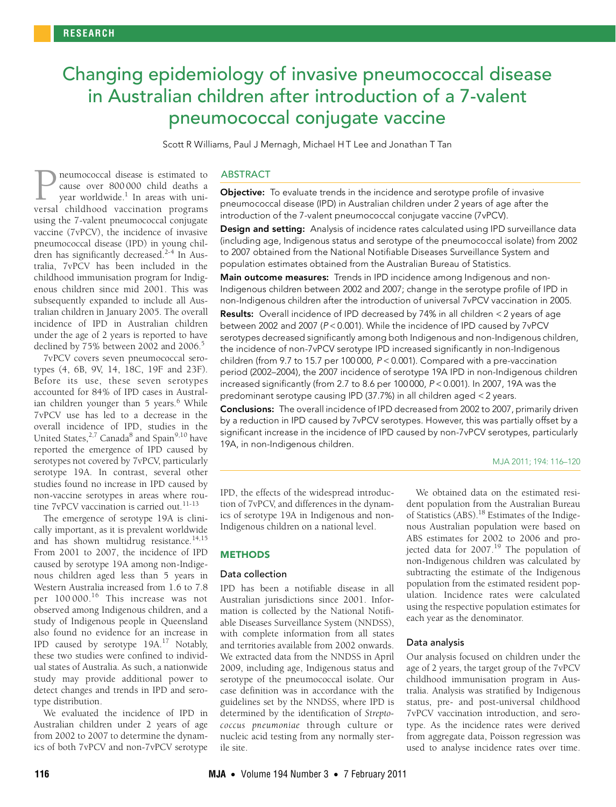# <span id="page-0-0"></span>Changing epidemiology of invasive pneumococcal disease in Australian children after introduction of a 7-valent pneumococcal conjugate vaccine

Scott R Williams, Paul J Mernagh, Michael H T Lee and Jonathan T Tan

vaccine (7vPCV), the incidence of invasive pneumococcal disease (IPD) in young [chil](#page-0-0)[dren has](#page-4-17) significantly decreased.<sup>2-[4](#page-4-2)</sup> In Australia, 7vPCV has been included in the childhood immunisation program for Indigenous children since mid 2001. This was neumococcal disease is estimated to cause over 800 000 child deaths a year worldwide.<sup>1</sup> In areas with uni-**P** neumococcal disease is estimated to cause over 800 000 child deaths a year worldwide.<sup>1</sup> In areas with universal childhood vaccination programs using the 7-valent pneumococcal conjugate subsequently expanded to include all Australian children in January 2005. The overall incidence of IPD in Australian children under the age of 2 years is reported to have declined by 75% between 2002 and 2006.<sup>5</sup>

7vPCV covers seven pneumococcal serotypes (4, 6B, 9V, 14, 18C, 19F and 23F). Before its use, these seven serotypes accounted for 84% of IPD cases in Austral-ian children younger than 5 years.<sup>[6](#page-4-4)</sup> While 7vPCV use has led to a decrease in the overall incidence of IPD, studies in the United States,<sup>[2](#page-4-1),[7](#page-4-5)</sup> Canada<sup>[8](#page-4-6)</sup> and Spain<sup>[9](#page-4-7),10</sup> have reported the emergence of IPD caused by serotypes not covered by 7vPCV, particularly serotype 19A. In contrast, several other studies found no increase in IPD caused by non-vaccine serotypes in areas where rou-tine 7vPCV vaccination is carried out.<sup>[11](#page-4-9)-[13](#page-4-10)</sup>

The emergence of serotype 19A is clinically important, as it is prevalent worldwide and has shown multidrug resistance.<sup>[14](#page-4-11),[15](#page-4-12)</sup> From 2001 to 2007, the incidence of IPD caused by serotype 19A among non-Indigenous children aged less than 5 years in Western Australia increased from 1.6 to 7.8 per  $100000$ .<sup>16</sup> This increase was not observed among Indigenous children, and a study of Indigenous people in Queensland also found no evidence for an increase in IPD caused by serotype 19A.[17](#page-4-14) Notably, these two studies were confined to individual states of Australia. As such, a nationwide study may provide additional power to detect changes and trends in IPD and serotype distribution.

We evaluated the incidence of IPD in Australian children under 2 years of age from 2002 to 2007 to determine the dynamics of both 7vPCV and non-7vPCV serotype

#### ABSTRACT

**Objective:** To evaluate trends in the incidence and serotype profile of invasive pneumococcal disease (IPD) in Australian children under 2 years of age after the introduction of the 7-valent pneumococcal conjugate vaccine (7vPCV).

Design and setting: Analysis of incidence rates calculated using IPD surveillance data (including age, Indigenous status and serotype of the pneumococcal isolate) from 2002 to 2007 obtained from the National Notifiable Diseases Surveillance System and population estimates obtained from the Australian Bureau of Statistics.

Main outcome measures: Trends in IPD incidence among Indigenous and non-Indigenous children between 2002 and 2007; change in the serotype profile of IPD in non-Indigenous children after the introduction of universal 7vPCV vaccination in 2005. Results: Overall incidence of IPD decreased by 74% in all children < 2 years of age between 2002 and 2007 (P < 0.001). While the incidence of IPD caused by 7vPCV serotypes decreased significantly among both Indigenous and non-Indigenous children, the incidence of non-7vPCV serotype IPD increased significantly in non-Indigenous children (from 9.7 to 15.7 per 100 000, P < 0.001). Compared with a pre-vaccination period (2002–2004), the 2007 incidence of serotype 19A IPD in non-Indigenous children increased significantly (from 2.7 to 8.6 per 100 000, P < 0.001). In 2007, 19A was the predominant serotype causing IPD (37.7%) in all children aged < 2 years.

Conclusions: The overall incidence of IPD decreased from 2002 to 2007, primarily driven by a reduction in IPD caused by 7vPCV serotypes. However, this was partially offset by a significant increase in the incidence of IPD caused by non-7vPCV serotypes, particularly 19A, in non-Indigenous children.

MJA 2011; 194: 116–120

IPD, the effects of the widespread introduction of 7vPCV, and differences in the dynamics of serotype 19A in Indigenous and non-Indigenous children on a national level.

#### **METHODS**

#### Data collection

IPD has been a notifiable disease in all Australian jurisdictions since 2001. Information is collected by the National Notifiable Diseases Surveillance System (NNDSS), with complete information from all states and territories available from 2002 onwards. We extracted data from the NNDSS in April 2009, including age, Indigenous status and serotype of the pneumococcal isolate. Our case definition was in accordance with the guidelines set by the NNDSS, where IPD is determined by the identification of *Streptococcus pneumoniae* through culture or nucleic acid testing from any normally sterile site.

We obtained data on the estimated resident population from the Australian Bureau of Statistics (ABS)[.18](#page-4-15) Estimates of the Indigenous Australian population were based on ABS estimates for 2002 to 2006 and projected data for  $2007<sup>19</sup>$  The population of non-Indigenous children was calculated by subtracting the estimate of the Indigenous population from the estimated resident population. Incidence rates were calculated using the respective population estimates for each year as the denominator.

#### Data analysis

Our analysis focused on children under the age of 2 years, the target group of the 7vPCV childhood immunisation program in Australia. Analysis was stratified by Indigenous status, pre- and post-universal childhood 7vPCV vaccination introduction, and serotype. As the incidence rates were derived from aggregate data, Poisson regression was used to analyse incidence rates over time.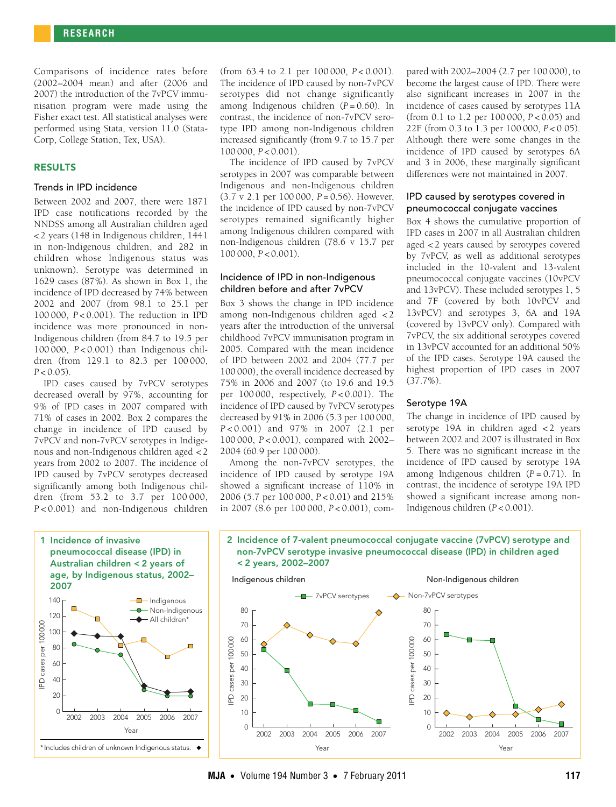Comparisons of incidence rates before (2002–2004 mean) and after (2006 and 2007) the introduction of the 7vPCV immunisation program were made using the Fisher exact test. All statistical analyses were performed using Stata, version 11.0 (Stata-Corp, College Station, Tex, USA).

# RESULTS

#### Trends in IPD incidence

Between 2002 and 2007, there were 1871 IPD case notifications recorded by the NNDSS among all Australian children aged < 2 years (148 in Indigenous children, 1441 in non-Indigenous children, and 282 in children whose Indigenous status was unknown). Serotype was determined in 1629 cases (87%). As shown in Box 1, the incidence of IPD decreased by 74% between 2002 and 2007 (from 98.1 to 25.1 per 100 000, *P* < 0.001). The reduction in IPD incidence was more pronounced in non-Indigenous children (from 84.7 to 19.5 per 100 000, *P* < 0.001) than Indigenous children (from 129.1 to 82.3 per 100 000,  $P < 0.05$ ).

IPD cases caused by 7vPCV serotypes decreased overall by 97%, accounting for 9% of IPD cases in 2007 compared with 71% of cases in 2002. Box 2 compares the change in incidence of IPD caused by 7vPCV and non-7vPCV serotypes in Indigenous and non-Indigenous children aged < 2 years from 2002 to 2007. The incidence of IPD caused by 7vPCV serotypes decreased significantly among both Indigenous children (from 53.2 to 3.7 per 100 000, *P* < 0.001) and non-Indigenous children



(from 63.4 to 2.1 per 100 000, *P* < 0.001). The incidence of IPD caused by non-7vPCV serotypes did not change significantly among Indigenous children (*P* = 0.60). In contrast, the incidence of non-7vPCV serotype IPD among non-Indigenous children increased significantly (from 9.7 to 15.7 per 100 000, *P* < 0.001).

The incidence of IPD caused by 7vPCV serotypes in 2007 was comparable between Indigenous and non-Indigenous children (3.7 v 2.1 per 100 000, *P* = 0.56). However, the incidence of IPD caused by non-7vPCV serotypes remained significantly higher among Indigenous children compared with non-Indigenous children (78.6 v 15.7 per 100 000, *P* < 0.001).

#### Incidence of IPD in non-Indigenous children before and after 7vPCV

Box 3 shows the change in IPD incidence among non-Indigenous children aged < 2 years after the introduction of the universal childhood 7vPCV immunisation program in 2005. Compared with the mean incidence of IPD between 2002 and 2004 (77.7 per 100 000), the overall incidence decreased by 75% in 2006 and 2007 (to 19.6 and 19.5 per 100 000, respectively, *P* < 0.001). The incidence of IPD caused by 7vPCV serotypes decreased by 91% in 2006 (5.3 per 100 000, *P* < 0.001) and 97% in 2007 (2.1 per 100 000, *P* < 0.001), compared with 2002– 2004 (60.9 per 100 000).

Among the non-7vPCV serotypes, the incidence of IPD caused by serotype 19A showed a significant increase of 110% in 2006 (5.7 per 100 000, *P* < 0.01) and 215% in 2007 (8.6 per 100 000, *P* < 0.001), compared with 2002–2004 (2.7 per 100 000), to become the largest cause of IPD. There were also significant increases in 2007 in the incidence of cases caused by serotypes 11A (from 0.1 to 1.2 per 100 000, *P* < 0.05) and 22F (from 0.3 to 1.3 per 100 000, *P* < 0.05). Although there were some changes in the incidence of IPD caused by serotypes 6A and 3 in 2006, these marginally significant differences were not maintained in 2007.

# IPD caused by serotypes covered in pneumococcal conjugate vaccines

Box 4 shows the cumulative proportion of IPD cases in 2007 in all Australian children aged < 2 years caused by serotypes covered by 7vPCV, as well as additional serotypes included in the 10-valent and 13-valent pneumococcal conjugate vaccines (10vPCV and 13vPCV). These included serotypes 1, 5 and 7F (covered by both 10vPCV and 13vPCV) and serotypes 3, 6A and 19A (covered by 13vPCV only). Compared with 7vPCV, the six additional serotypes covered in 13vPCV accounted for an additional 50% of the IPD cases. Serotype 19A caused the highest proportion of IPD cases in 2007 (37.7%).

# Serotype 19A

The change in incidence of IPD caused by serotype 19A in children aged  $<$  2 years between 2002 and 2007 is illustrated in Box 5. There was no significant increase in the incidence of IPD caused by serotype 19A among Indigenous children (*P* = 0.71). In contrast, the incidence of serotype 19A IPD showed a significant increase among non-Indigenous children (*P* < 0.001).



2 Incidence of 7-valent pneumococcal conjugate vaccine (7vPCV) serotype and non-7vPCV serotype invasive pneumococcal disease (IPD) in children aged

# **MJA** • Volume 194 Number 3 • 7 February 2011 **117**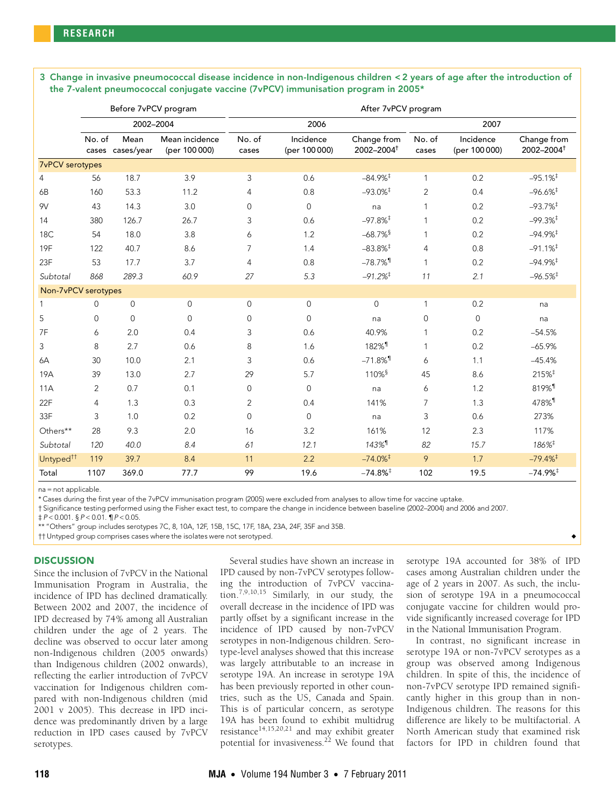3 Change in invasive pneumococcal disease incidence in non-Indigenous children < 2 years of age after the introduction of the 7-valent pneumococcal conjugate vaccine (7vPCV) immunisation program in 2005\*

|                        | Before 7vPCV program |                          |                                 | After 7vPCV program |                            |                                       |                 |                            |                                       |
|------------------------|----------------------|--------------------------|---------------------------------|---------------------|----------------------------|---------------------------------------|-----------------|----------------------------|---------------------------------------|
|                        | 2002-2004            |                          |                                 | 2006                |                            |                                       | 2007            |                            |                                       |
|                        | No. of               | Mean<br>cases cases/year | Mean incidence<br>(per 100 000) | No. of<br>cases     | Incidence<br>(per 100 000) | Change from<br>2002-2004 <sup>+</sup> | No. of<br>cases | Incidence<br>(per 100 000) | Change from<br>2002-2004 <sup>+</sup> |
| <b>7vPCV</b> serotypes |                      |                          |                                 |                     |                            |                                       |                 |                            |                                       |
| 4                      | 56                   | 18.7                     | 3.9                             | 3                   | 0.6                        | $-84.9\%$ <sup>‡</sup>                | 1               | 0.2                        | $-95.1%$ <sup>‡</sup>                 |
| 6B                     | 160                  | 53.3                     | 11.2                            | 4                   | 0.8                        | $-93.0\%$ <sup>‡</sup>                | $\mathbf{2}$    | 0.4                        | $-96.6%$ <sup>‡</sup>                 |
| 9V                     | 43                   | 14.3                     | 3.0                             | $\mathbf 0$         | $\overline{0}$             | na                                    | 1               | 0.2                        | $-93.7%$ <sup>‡</sup>                 |
| 14                     | 380                  | 126.7                    | 26.7                            | 3                   | 0.6                        | $-97.8%$ <sup>‡</sup>                 | 1               | 0.2                        | $-99.3%$ <sup>‡</sup>                 |
| 18C                    | 54                   | 18.0                     | 3.8                             | 6                   | 1.2                        | $-68.7\%$ <sup>§</sup>                |                 | 0.2                        | $-94.9%$ <sup>#</sup>                 |
| <b>19F</b>             | 122                  | 40.7                     | 8.6                             | $\overline{7}$      | 1.4                        | $-83.8\%$ <sup>‡</sup>                | 4               | 0.8                        | $-91.1%$ <sup>‡</sup>                 |
| 23F                    | 53                   | 17.7                     | 3.7                             | $\overline{4}$      | 0.8                        | $-78.7\%$ <sup>1</sup>                | 1               | 0.2                        | $-94.9\%$ <sup>‡</sup>                |
| Subtotal               | 868                  | 289.3                    | 60.9                            | 27                  | 5.3                        | $-91.2\%$ <sup>‡</sup>                | 11              | 2.1                        | $-96.5%$ <sup>‡</sup>                 |
| Non-7vPCV serotypes    |                      |                          |                                 |                     |                            |                                       |                 |                            |                                       |
| 1                      | 0                    | 0                        | $\mathbf 0$                     | $\mathbf 0$         | $\mathbf{0}$               | $\mathbf{0}$                          | 1               | 0.2                        | na                                    |
| 5                      | $\mathsf{O}\xspace$  | $\mathbf{0}$             | $\mathbf{0}$                    | $\mathbf 0$         | $\mathbf{0}$               | na                                    | 0               | $\mathbf{0}$               | na                                    |
| 7F                     | 6                    | 2.0                      | 0.4                             | 3                   | 0.6                        | 40.9%                                 | 1               | 0.2                        | $-54.5%$                              |
| 3                      | 8                    | 2.7                      | 0.6                             | 8                   | 1.6                        | 182% <sup>1</sup>                     |                 | 0.2                        | $-65.9%$                              |
| 6A                     | 30                   | 10.0                     | 2.1                             | 3                   | 0.6                        | $-71.8\%$ <sup>1</sup>                | 6               | 1.1                        | $-45.4%$                              |
| 19A                    | 39                   | 13.0                     | 2.7                             | 29                  | 5.7                        | 110% <sup>§</sup>                     | 45              | 8.6                        | 215% <sup>‡</sup>                     |
| 11A                    | 2                    | 0.7                      | 0.1                             | $\mathbf 0$         | $\mathbf{0}$               | na                                    | 6               | 1.2                        | 819% <sup>1</sup>                     |
| 22F                    | 4                    | 1.3                      | 0.3                             | $\overline{2}$      | 0.4                        | 141%                                  | $\overline{7}$  | 1.3                        | 478% <sup>1</sup>                     |
| 33F                    | 3                    | 1.0                      | 0.2                             | $\Omega$            | $\Omega$                   | na                                    | 3               | 0.6                        | 273%                                  |
| Others**               | 28                   | 9.3                      | 2.0                             | 16                  | 3.2                        | 161%                                  | 12              | 2.3                        | 117%                                  |
| Subtotal               | 120                  | 40.0                     | 8.4                             | 61                  | 12.1                       | $143\%$ <sup>1</sup>                  | 82              | 15.7                       | $186\%$ <sup>‡</sup>                  |
| Untyped <sup>tt</sup>  | 119                  | 39.7                     | 8.4                             | 11                  | 2.2                        | $-74.0\%$ <sup>‡</sup>                | 9               | 1.7                        | $-79.4\%$ <sup>‡</sup>                |
| Total                  | 1107                 | 369.0                    | 77.7                            | 99                  | 19.6                       | $-74.8%$ <sup>‡</sup>                 | 102             | 19.5                       | $-74.9%$ <sup>‡</sup>                 |

na = not applicable.

\* Cases during the first year of the 7vPCV immunisation program (2005) were excluded from analyses to allow time for vaccine uptake.

† Significance testing performed using the Fisher exact test, to compare the change in incidence between baseline (2002–2004) and 2006 and 2007.

 $\sharp P < 0.001$ . §  $P < 0.01$ . ¶  $P < 0.05$ .

\*\* "Others" group includes serotypes 7C, 8, 10A, 12F, 15B, 15C, 17F, 18A, 23A, 24F, 35F and 35B.

†† Untyped group comprises cases where the isolates were not serotyped. ◆

#### **DISCUSSION**

Since the inclusion of 7vPCV in the National Immunisation Program in Australia, the incidence of IPD has declined dramatically. Between 2002 and 2007, the incidence of IPD decreased by 74% among all Australian children under the age of 2 years. The decline was observed to occur later among non-Indigenous children (2005 onwards) than Indigenous children (2002 onwards), reflecting the earlier introduction of 7vPCV vaccination for Indigenous children compared with non-Indigenous children (mid 2001 v 2005). This decrease in IPD incidence was predominantly driven by a large reduction in IPD cases caused by 7vPCV serotypes.

Several studies have shown an increase in IPD caused by non-7vPCV serotypes following the introduction of 7vPCV vaccination.[7](#page-4-5)[,9,](#page-4-7)[10,](#page-4-8)[15](#page-4-12) Similarly, in our study, the overall decrease in the incidence of IPD was partly offset by a significant increase in the incidence of IPD caused by non-7vPCV serotypes in non-Indigenous children. Serotype-level analyses showed that this increase was largely attributable to an increase in serotype 19A. An increase in serotype 19A has been previously reported in other countries, such as the US, Canada and Spain. This is of particular concern, as serotype 19A has been found to exhibit multidrug resistance<sup>[14,](#page-4-11)[15](#page-4-12),[20,](#page-4-18)[21](#page-4-19)</sup> and may exhibit greater potential for invasiveness.<sup>22</sup> We found that

serotype 19A accounted for 38% of IPD cases among Australian children under the age of 2 years in 2007. As such, the inclusion of serotype 19A in a pneumococcal conjugate vaccine for children would provide significantly increased coverage for IPD in the National Immunisation Program.

In contrast, no significant increase in serotype 19A or non-7vPCV serotypes as a group was observed among Indigenous children. In spite of this, the incidence of non-7vPCV serotype IPD remained significantly higher in this group than in non-Indigenous children. The reasons for this difference are likely to be multifactorial. A North American study that examined risk factors for IPD in children found that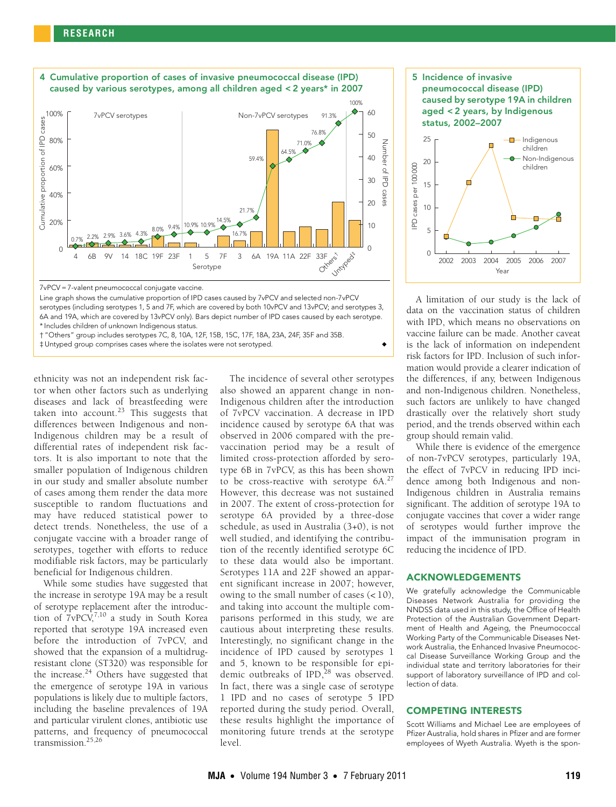

<sup>7</sup>vPCV = 7-valent pneumococcal conjugate vaccine.

Line graph shows the cumulative proportion of IPD cases caused by 7vPCV and selected non-7vPCV serotypes (including serotypes 1, 5 and 7F, which are covered by both 10vPCV and 13vPCV; and serotypes 3, 6A and 19A, which are covered by 13vPCV only). Bars depict number of IPD cases caused by each serotype. \* Includes children of unknown Indigenous status.

† "Others" group includes serotypes 7C, 8, 10A, 12F, 15B, 15C, 17F, 18A, 23A, 24F, 35F and 35B.

‡ Untyped group comprises cases where the isolates were not serotyped. ◆

ethnicity was not an independent risk factor when other factors such as underlying diseases and lack of breastfeeding were taken into account.<sup>23</sup> This suggests that differences between Indigenous and non-Indigenous children may be a result of differential rates of independent risk factors. It is also important to note that the smaller population of Indigenous children in our study and smaller absolute number of cases among them render the data more susceptible to random fluctuations and may have reduced statistical power to detect trends. Nonetheless, the use of a conjugate vaccine with a broader range of serotypes, together with efforts to reduce modifiable risk factors, may be particularly beneficial for Indigenous children.

While some studies have suggested that the increase in serotype 19A may be a result of serotype replacement after the introduction of  $7vPCV$  $7vPCV$ <sup>7,10</sup> a study in South Korea reported that serotype 19A increased even before the introduction of 7vPCV, and showed that the expansion of a multidrugresistant clone (ST320) was responsible for the increase. $24$  Others have suggested that the emergence of serotype 19A in various populations is likely due to multiple factors, including the baseline prevalences of 19A and particular virulent clones, antibiotic use patterns, and frequency of pneumococcal transmission.[25](#page-4-23)[,26](#page-4-24)

The incidence of several other serotypes also showed an apparent change in non-Indigenous children after the introduction of 7vPCV vaccination. A decrease in IPD incidence caused by serotype 6A that was observed in 2006 compared with the prevaccination period may be a result of limited cross-protection afforded by serotype 6B in 7vPCV, as this has been shown to be cross-reactive with serotype  $6A<sub>1</sub><sup>27</sup>$  $6A<sub>1</sub><sup>27</sup>$  $6A<sub>1</sub><sup>27</sup>$ However, this decrease was not sustained in 2007. The extent of cross-protection for serotype 6A provided by a three-dose schedule, as used in Australia (3+0), is not well studied, and identifying the contribution of the recently identified serotype 6C to these data would also be important. Serotypes 11A and 22F showed an apparent significant increase in 2007; however, owing to the small number of cases  $(< 10)$ , and taking into account the multiple comparisons performed in this study, we are cautious about interpreting these results. Interestingly, no significant change in the incidence of IPD caused by serotypes 1 and 5, known to be responsible for epidemic outbreaks of  $IPD<sub>1</sub><sup>28</sup>$  was observed. In fact, there was a single case of serotype 1 IPD and no cases of serotype 5 IPD reported during the study period. Overall, these results highlight the importance of monitoring future trends at the serotype level.



A limitation of our study is the lack of data on the vaccination status of children with IPD, which means no observations on vaccine failure can be made. Another caveat is the lack of information on independent risk factors for IPD. Inclusion of such information would provide a clearer indication of the differences, if any, between Indigenous and non-Indigenous children. Nonetheless, such factors are unlikely to have changed drastically over the relatively short study period, and the trends observed within each group should remain valid.

While there is evidence of the emergence of non-7vPCV serotypes, particularly 19A, the effect of 7vPCV in reducing IPD incidence among both Indigenous and non-Indigenous children in Australia remains significant. The addition of serotype 19A to conjugate vaccines that cover a wider range of serotypes would further improve the impact of the immunisation program in reducing the incidence of IPD.

# ACKNOWLEDGEMENTS

We gratefully acknowledge the Communicable Diseases Network Australia for providing the NNDSS data used in this study, the Office of Health Protection of the Australian Government Department of Health and Ageing, the Pneumococcal Working Party of the Communicable Diseases Network Australia, the Enhanced Invasive Pneumococcal Disease Surveillance Working Group and the individual state and territory laboratories for their support of laboratory surveillance of IPD and collection of data.

#### COMPETING INTERESTS

Scott Williams and Michael Lee are employees of Pfizer Australia, hold shares in Pfizer and are former employees of Wyeth Australia. Wyeth is the spon